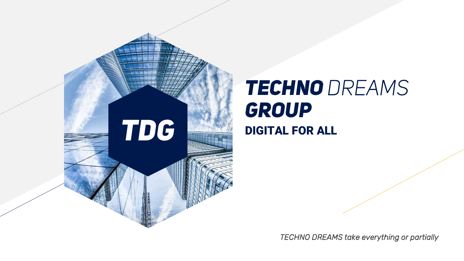

# *TECHNO DREAMS GROUP*

*TECHNO DREAMS take everything or partially*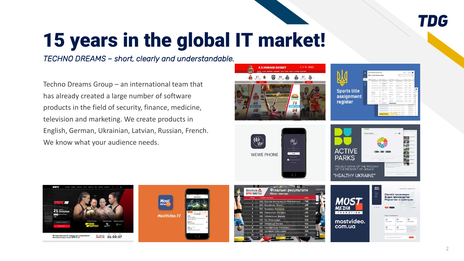

## 15 years in the global IT market!

**Most**<br>*Video TV* 

MostVideo.TV

*ТECHNO DREAMS – short, clearly and understandable.*

Techno Dreams Group – an international team that has already created a large number of software products in the field of security, finance, medicine, television and marketing. We create products in English, German, Ukrainian, Latvian, Russian, French. We know what your audience needs.

WWFC15 11:02:17

The Party

Международный турнир по са<br>боевым искусствам WWFC 15

21 Central



 $543$ 532

524

519 500 mostvideo.

com.ua



F. **AN** 

2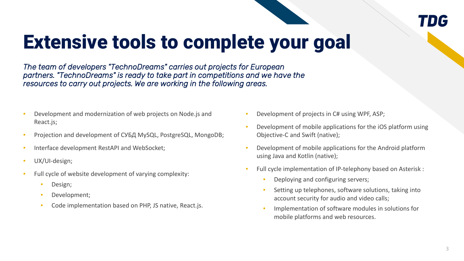#### *TDG*

### Extensive tools to complete your goal

*The team of developers "TechnoDreams" carries out projects for European partners. "TechnoDreams" is ready to take part in competitions and we have the resources to carry out projects. We are working in the following areas.*

- Development and modernization of web projects on Node.js and React.js;
- Projection and development of СУБД MySQL, PostgreSQL, MongoDB;
- Interface development RestAPI and WebSocket;
- UX/UI-design;
- Full cycle of website development of varying complexity:
	- Design;
	- Development;
	- Code implementation based on PHP, JS native, React.js.
- Development of projects in C# using WPF, ASP;
- Development of mobile applications for the iOS platform using Objective-C and Swift (native);
- Development of mobile applications for the Android platform using Java and Kotlin (native);
- Full cycle implementation of IP-telephony based on Asterisk :
	- Deploying and configuring servers;
	- Setting up telephones, software solutions, taking into account security for audio and video calls;
	- Implementation of software modules in solutions for mobile platforms and web resources.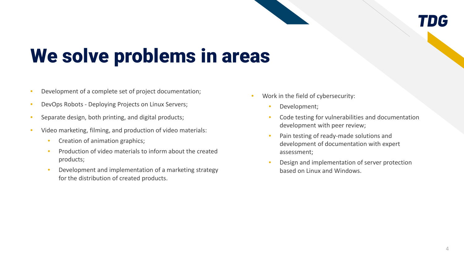#### *TDG*

### We solve problems in areas

- Development of a complete set of project documentation;
- DevOps Robots Deploying Projects on Linux Servers;
- Separate design, both printing, and digital products;
- Video marketing, filming, and production of video materials:
	- Creation of animation graphics;
	- Production of video materials to inform about the created products;
	- Development and implementation of a marketing strategy for the distribution of created products.
- Work in the field of cybersecurity:
	- Development;
	- Code testing for vulnerabilities and documentation development with peer review;
	- Pain testing of ready-made solutions and development of documentation with expert assessment;
	- Design and implementation of server protection based on Linux and Windows.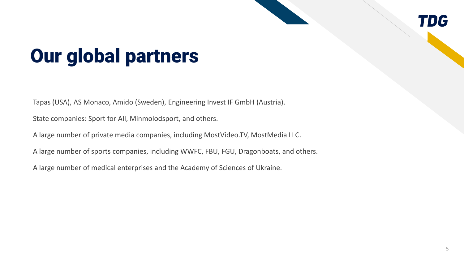#### *TDG*

### Our global partners

Tapas (USA), AS Monaco, Amido (Sweden), Engineering Invest IF GmbH (Austria).

State companies: Sport for All, Minmolodsport, and others.

A large number of private media companies, including MostVideo.TV, MostMedia LLC.

A large number of sports companies, including WWFC, FBU, FGU, Dragonboats, and others.

A large number of medical enterprises and the Academy of Sciences of Ukraine.